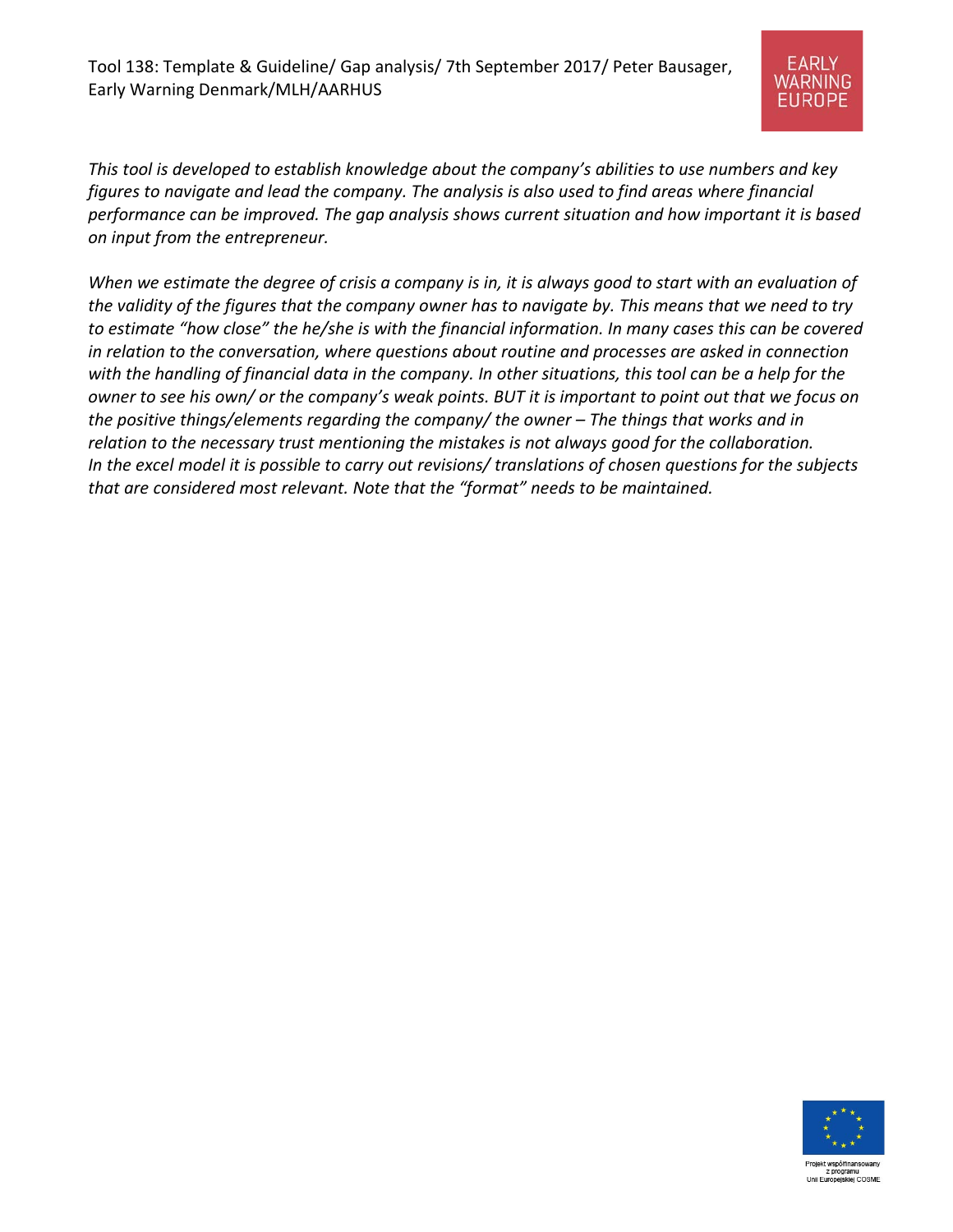

*This tool is developed to establish knowledge about the company's abilities to use numbers and key figures to navigate and lead the company. The analysis is also used to find areas where financial performance can be improved. The gap analysis shows current situation and how important it is based on input from the entrepreneur.*

*When we estimate the degree of crisis a company is in, it is always good to start with an evaluation of the validity of the figures that the company owner has to navigate by. This means that we need to try to estimate "how close" the he/she is with the financial information. In many cases this can be covered in relation to the conversation, where questions about routine and processes are asked in connection with the handling of financial data in the company. In other situations, this tool can be a help for the owner to see his own/ or the company's weak points. BUT it is important to point out that we focus on the positive things/elements regarding the company/ the owner – The things that works and in relation to the necessary trust mentioning the mistakes is not always good for the collaboration. In the excel model it is possible to carry out revisions/ translations of chosen questions for the subjects that are considered most relevant. Note that the "format" needs to be maintained.* 



z program Unii Europejskiej COSME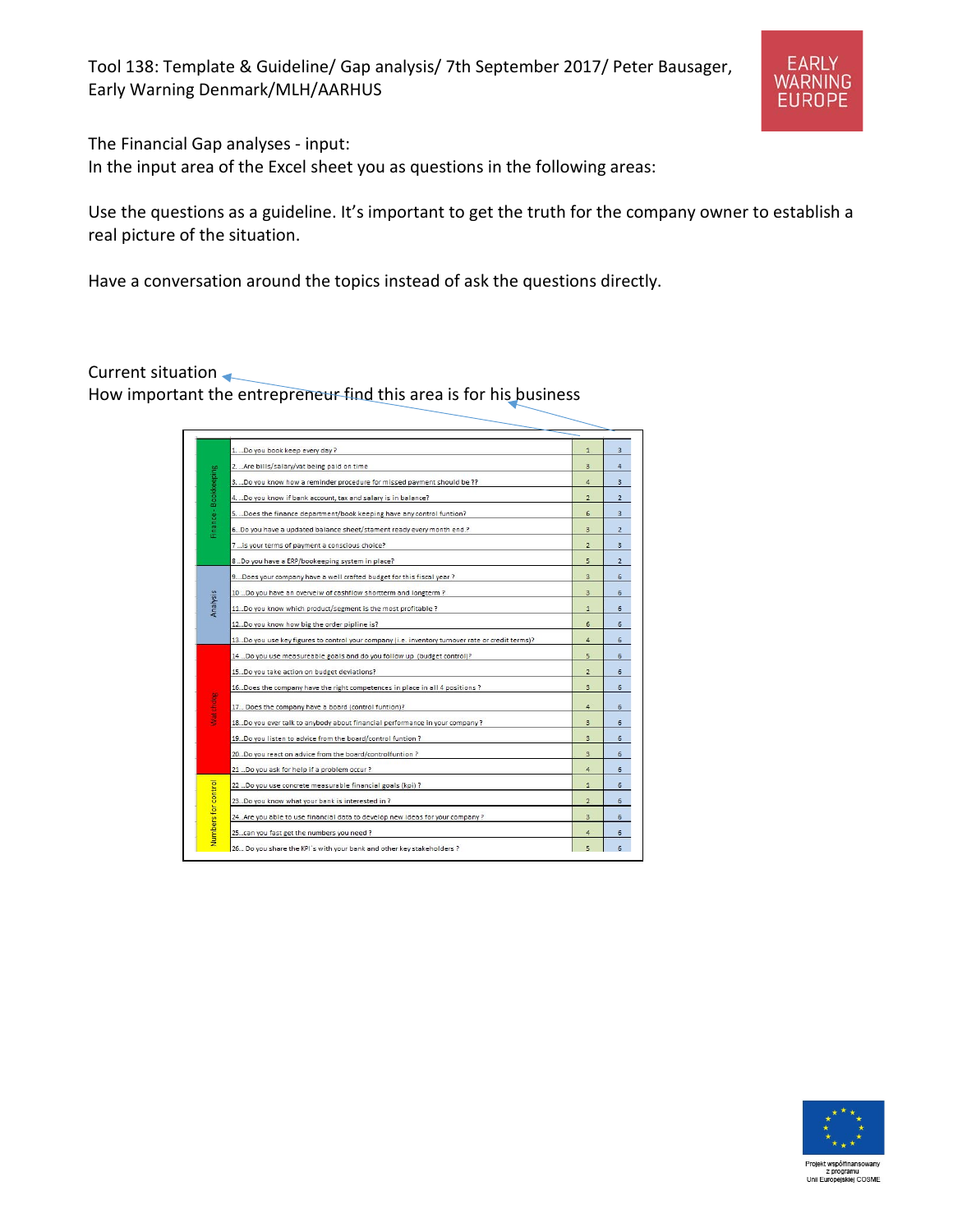

The Financial Gap analyses - input:

In the input area of the Excel sheet you as questions in the following areas:

Use the questions as a guideline. It's important to get the truth for the company owner to establish a real picture of the situation.

Have a conversation around the topics instead of ask the questions directly.

Current situation

How important the entrepreneur find this area is for his business

| 1. Do you book keep every day?<br>2.  Are bills/salary/vat being paid on time<br>Finance - Bookkeeping<br>3. Do you know how a reminder procedure for missed payment should be ??<br>4. Do you know if bank account, tax and salary is in balance? | $\mathbf{1}$<br>$\overline{\mathbf{3}}$<br>4<br>$\overline{2}$<br>6 | 3<br>$\Delta$<br>3<br>$\overline{2}$<br>$\overline{\mathbf{3}}$ |
|----------------------------------------------------------------------------------------------------------------------------------------------------------------------------------------------------------------------------------------------------|---------------------------------------------------------------------|-----------------------------------------------------------------|
|                                                                                                                                                                                                                                                    |                                                                     |                                                                 |
|                                                                                                                                                                                                                                                    |                                                                     |                                                                 |
|                                                                                                                                                                                                                                                    |                                                                     |                                                                 |
|                                                                                                                                                                                                                                                    |                                                                     |                                                                 |
|                                                                                                                                                                                                                                                    |                                                                     |                                                                 |
| 5. Does the finance department/book keeping have any control funtion?                                                                                                                                                                              |                                                                     |                                                                 |
| 6Do you have a updated balance sheet/stament ready every month end.?                                                                                                                                                                               | $\overline{3}$                                                      | $\overline{2}$                                                  |
| 7  is your terms of payment a conscious choice?                                                                                                                                                                                                    | $\overline{2}$                                                      | 3                                                               |
| 8  Do you have a ERP/bookeeping system in place?                                                                                                                                                                                                   | 5                                                                   | $\overline{2}$                                                  |
| 9. Does your company have a well crafted budget for this fiscal year?                                                                                                                                                                              | $\overline{\mathbf{3}}$                                             | 6                                                               |
| 10  Do you have an overveiw of cashflow shortterm and longterm?                                                                                                                                                                                    | $\overline{3}$                                                      | 6                                                               |
| Analysis<br>11. Do you know which product/segment is the most profitable ?                                                                                                                                                                         | $\mathbf{1}$                                                        | 6                                                               |
| 12Do you know how big the order pipline is?                                                                                                                                                                                                        | $6\overline{6}$                                                     | 6                                                               |
| 13. Do you use key figures to control your company (i.e. inventory turnover rate or credit terms)?                                                                                                                                                 | 4                                                                   | $\overline{6}$                                                  |
| 14  Do you use measureable goals and do you follow up (budget control)?                                                                                                                                                                            | 5                                                                   | 6                                                               |
| 15Do you take action on budget deviations?                                                                                                                                                                                                         | $\overline{2}$                                                      | 6                                                               |
| 16. Does the company have the right competences in place in all 4 positions ?                                                                                                                                                                      | 3                                                                   | 6                                                               |
| Watchdag                                                                                                                                                                                                                                           |                                                                     |                                                                 |
| 17 Does the company have a board (control funtion)?                                                                                                                                                                                                | $\overline{a}$                                                      | 6                                                               |
| 18. Do you ever talk to anybody about financial performance in your company?                                                                                                                                                                       | 3                                                                   | 6                                                               |
| 19. Do you listen to advice from the board/control funtion ?                                                                                                                                                                                       | 3                                                                   | $\overline{6}$                                                  |
| 20Do you react on advice from the board/controlfuntion ?                                                                                                                                                                                           | 3                                                                   | 6                                                               |
| 21  Do you ask for help if a problem occur?                                                                                                                                                                                                        | $\overline{4}$                                                      | 6                                                               |
| 22 Do you use concrete measurable financial goals (kpi) ?                                                                                                                                                                                          | $\mathbf{1}$                                                        | 6                                                               |
| 23. Do you know what your bank is interested in ?                                                                                                                                                                                                  | $\overline{2}$                                                      | 6                                                               |
| 24. Are you able to use financial data to develop new ideas for your company?                                                                                                                                                                      | $\overline{3}$                                                      | 6                                                               |
| Numbers for control<br>25. can you fast get the numbers you need ?                                                                                                                                                                                 | 4                                                                   | 6                                                               |
| 26 Do you share the KPI's with your bank and other key stakeholders ?                                                                                                                                                                              | 5                                                                   | A                                                               |

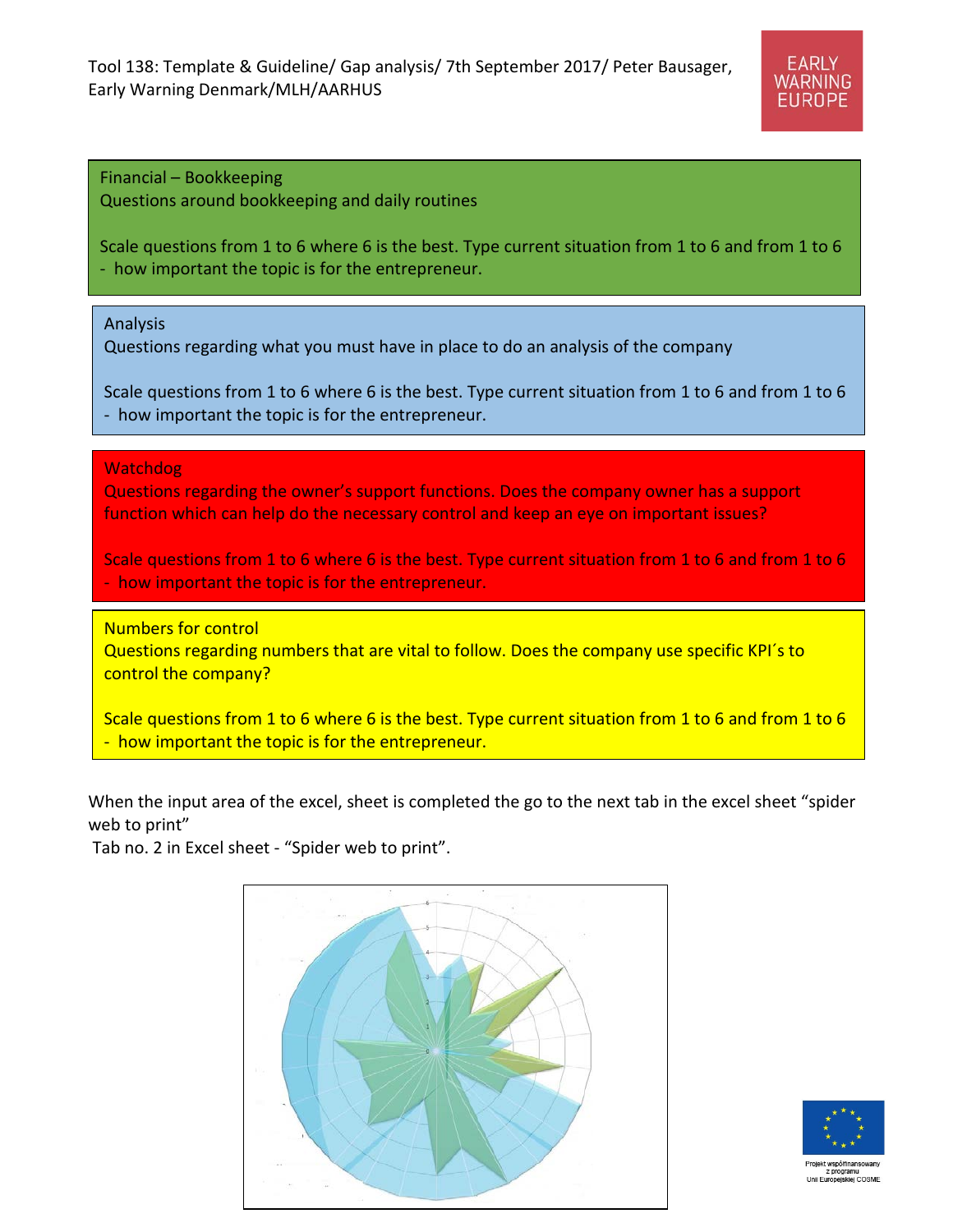Tool 138: Template & Guideline/ Gap analysis/ 7th September 2017/ Peter Bausager, Early Warning Denmark/MLH/AARHUS



Financial – Bookkeeping Questions around bookkeeping and daily routines

Scale questions from 1 to 6 where 6 is the best. Type current situation from 1 to 6 and from 1 to 6 - how important the topic is for the entrepreneur.

Analysis

Questions regarding what you must have in place to do an analysis of the company

Scale questions from 1 to 6 where 6 is the best. Type current situation from 1 to 6 and from 1 to 6 - how important the topic is for the entrepreneur.

Watchdog

Questions regarding the owner's support functions. Does the company owner has a support function which can help do the necessary control and keep an eye on important issues?

Scale questions from 1 to 6 where 6 is the best. Type current situation from 1 to 6 and from 1 to 6 - how important the topic is for the entrepreneur.

Numbers for control

Questions regarding numbers that are vital to follow. Does the company use specific KPI´s to control the company?

Scale questions from 1 to 6 where 6 is the best. Type current situation from 1 to 6 and from 1 to 6 - how important the topic is for the entrepreneur.

When the input area of the excel, sheet is completed the go to the next tab in the excel sheet "spider web to print"

Tab no. 2 in Excel sheet - "Spider web to print".